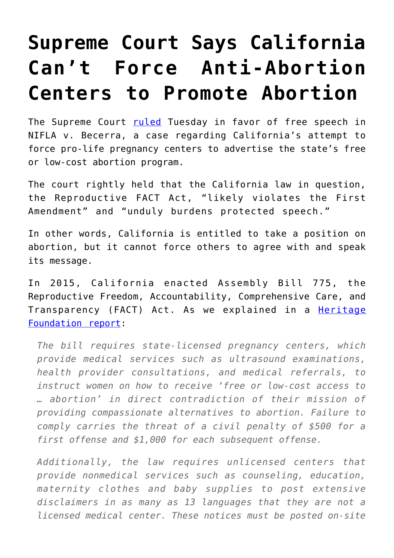## **[Supreme Court Says California](https://intellectualtakeout.org/2018/06/supreme-court-says-california-cant-force-anti-abortion-centers-to-promote-abortion/) [Can't Force Anti-Abortion](https://intellectualtakeout.org/2018/06/supreme-court-says-california-cant-force-anti-abortion-centers-to-promote-abortion/) [Centers to Promote Abortion](https://intellectualtakeout.org/2018/06/supreme-court-says-california-cant-force-anti-abortion-centers-to-promote-abortion/)**

The Supreme Court [ruled](https://www.supremecourt.gov/opinions/17pdf/16-1140_5368.pdf) Tuesday in favor of free speech in NIFLA v. Becerra, a case regarding California's attempt to force pro-life pregnancy centers to advertise the state's free or low-cost abortion program.

The court rightly held that the California law in question, the Reproductive FACT Act, "likely violates the First Amendment" and "unduly burdens protected speech."

In other words, California is entitled to take a position on abortion, but it cannot force others to agree with and speak its message.

In 2015, California enacted Assembly Bill 775, the Reproductive Freedom, Accountability, Comprehensive Care, and Transparency (FACT) Act. As we explained in a **[Heritage](https://www.heritage.org/religious-liberty/report/the-first-amendment-and-the-freedom-not-speak-california-pro-life)** [Foundation report:](https://www.heritage.org/religious-liberty/report/the-first-amendment-and-the-freedom-not-speak-california-pro-life)

*The bill requires state-licensed pregnancy centers, which provide medical services such as ultrasound examinations, health provider consultations, and medical referrals, to instruct women on how to receive 'free or low-cost access to … abortion' in direct contradiction of their mission of providing compassionate alternatives to abortion. Failure to comply carries the threat of a civil penalty of \$500 for a first offense and \$1,000 for each subsequent offense.*

*Additionally, the law requires unlicensed centers that provide nonmedical services such as counseling, education, maternity clothes and baby supplies to post extensive disclaimers in as many as 13 languages that they are not a licensed medical center. These notices must be posted on-site*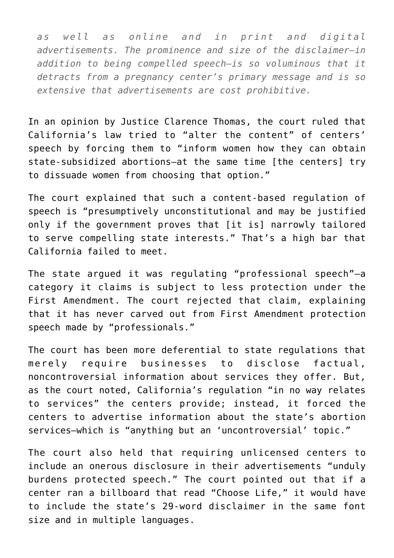*as well as online and in print and digital advertisements. The prominence and size of the disclaimer—in addition to being compelled speech—is so voluminous that it detracts from a pregnancy center's primary message and is so extensive that advertisements are cost prohibitive.*

In an opinion by Justice Clarence Thomas, the court ruled that California's law tried to "alter the content" of centers' speech by forcing them to "inform women how they can obtain state-subsidized abortions—at the same time [the centers] try to dissuade women from choosing that option."

The court explained that such a content-based regulation of speech is "presumptively unconstitutional and may be justified only if the government proves that [it is] narrowly tailored to serve compelling state interests." That's a high bar that California failed to meet.

The state argued it was regulating "professional speech"—a category it claims is subject to less protection under the First Amendment. The court rejected that claim, explaining that it has never carved out from First Amendment protection speech made by "professionals."

The court has been more deferential to state regulations that merely require businesses to disclose factual, noncontroversial information about services they offer. But, as the court noted, California's regulation "in no way relates to services" the centers provide; instead, it forced the centers to advertise information about the state's abortion services—which is "anything but an 'uncontroversial' topic."

The court also held that requiring unlicensed centers to include an onerous disclosure in their advertisements "unduly burdens protected speech." The court pointed out that if a center ran a billboard that read "Choose Life," it would have to include the state's 29-word disclaimer in the same font size and in multiple languages.